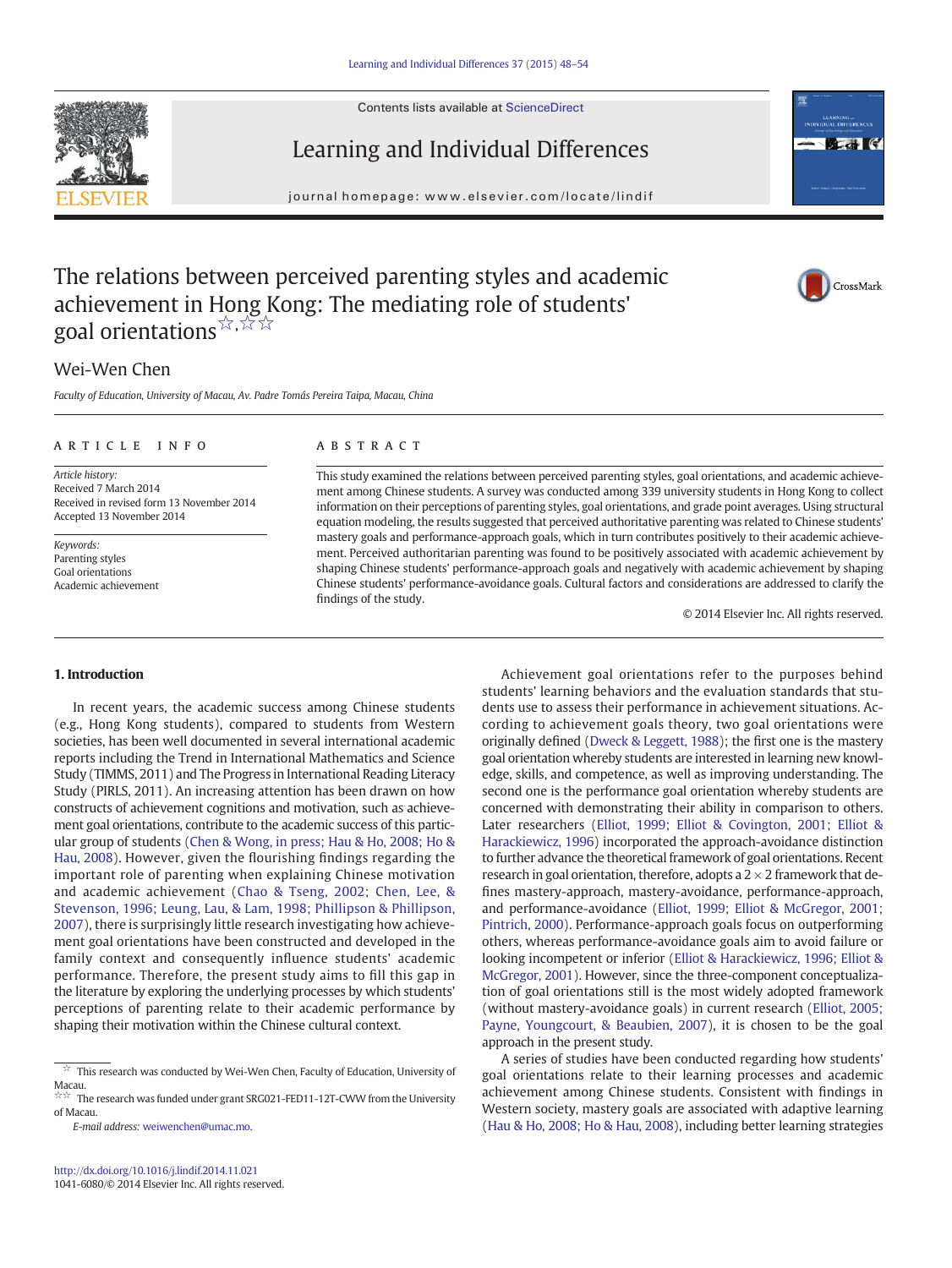Contents lists available at [ScienceDirect](http://www.sciencedirect.com/science/journal/10416080)





CrossMark

# Learning and Individual Differences

journal homepage:<www.elsevier.com/locate/lindif>

# The relations between perceived parenting styles and academic achievement in Hong Kong: The mediating role of students' goal orientations☆,☆☆☆

## Wei-Wen Chen

Faculty of Education, University of Macau, Av. Padre Tomás Pereira Taipa, Macau, China

#### article info abstract

Article history: Received 7 March 2014 Received in revised form 13 November 2014 Accepted 13 November 2014

Keywords: Parenting styles Goal orientations Academic achievement

This study examined the relations between perceived parenting styles, goal orientations, and academic achievement among Chinese students. A survey was conducted among 339 university students in Hong Kong to collect information on their perceptions of parenting styles, goal orientations, and grade point averages. Using structural equation modeling, the results suggested that perceived authoritative parenting was related to Chinese students' mastery goals and performance-approach goals, which in turn contributes positively to their academic achievement. Perceived authoritarian parenting was found to be positively associated with academic achievement by shaping Chinese students' performance-approach goals and negatively with academic achievement by shaping Chinese students' performance-avoidance goals. Cultural factors and considerations are addressed to clarify the findings of the study.

© 2014 Elsevier Inc. All rights reserved.

### 1. Introduction

In recent years, the academic success among Chinese students (e.g., Hong Kong students), compared to students from Western societies, has been well documented in several international academic reports including the Trend in International Mathematics and Science Study (TIMMS, 2011) and The Progress in International Reading Literacy Study (PIRLS, 2011). An increasing attention has been drawn on how constructs of achievement cognitions and motivation, such as achievement goal orientations, contribute to the academic success of this particular group of students ([Chen & Wong, in press; Hau & Ho, 2008; Ho &](#page--1-0) [Hau, 2008\)](#page--1-0). However, given the flourishing findings regarding the important role of parenting when explaining Chinese motivation and academic achievement ([Chao & Tseng, 2002; Chen, Lee, &](#page--1-0) Stevenson, 1996; Leung, Lau, & [Lam, 1998; Phillipson & Phillipson,](#page--1-0) [2007](#page--1-0)), there is surprisingly little research investigating how achievement goal orientations have been constructed and developed in the family context and consequently influence students' academic performance. Therefore, the present study aims to fill this gap in the literature by exploring the underlying processes by which students' perceptions of parenting relate to their academic performance by shaping their motivation within the Chinese cultural context.

E-mail address: [weiwenchen@umac.mo.](mailto:weiwenchen@umac.mo)

Achievement goal orientations refer to the purposes behind students' learning behaviors and the evaluation standards that students use to assess their performance in achievement situations. According to achievement goals theory, two goal orientations were originally defined [\(Dweck & Leggett, 1988\)](#page--1-0); the first one is the mastery goal orientation whereby students are interested in learning new knowledge, skills, and competence, as well as improving understanding. The second one is the performance goal orientation whereby students are concerned with demonstrating their ability in comparison to others. Later researchers ([Elliot, 1999; Elliot & Covington, 2001; Elliot &](#page--1-0) [Harackiewicz, 1996\)](#page--1-0) incorporated the approach-avoidance distinction to further advance the theoretical framework of goal orientations. Recent research in goal orientation, therefore, adopts a  $2 \times 2$  framework that defines mastery-approach, mastery-avoidance, performance-approach, and performance-avoidance ([Elliot, 1999; Elliot & McGregor, 2001;](#page--1-0) [Pintrich, 2000\)](#page--1-0). Performance-approach goals focus on outperforming others, whereas performance-avoidance goals aim to avoid failure or looking incompetent or inferior [\(Elliot & Harackiewicz, 1996; Elliot &](#page--1-0) [McGregor, 2001\)](#page--1-0). However, since the three-component conceptualization of goal orientations still is the most widely adopted framework (without mastery-avoidance goals) in current research ([Elliot, 2005;](#page--1-0) [Payne, Youngcourt, & Beaubien, 2007\)](#page--1-0), it is chosen to be the goal approach in the present study.

A series of studies have been conducted regarding how students' goal orientations relate to their learning processes and academic achievement among Chinese students. Consistent with findings in Western society, mastery goals are associated with adaptive learning [\(Hau & Ho, 2008; Ho & Hau, 2008\)](#page--1-0), including better learning strategies

 $\overrightarrow{x}$  This research was conducted by Wei-Wen Chen, Faculty of Education, University of Macau.<br>☆☆ The research was funded under grant SRG021-FED11-12T-CWW from the University

of Macau.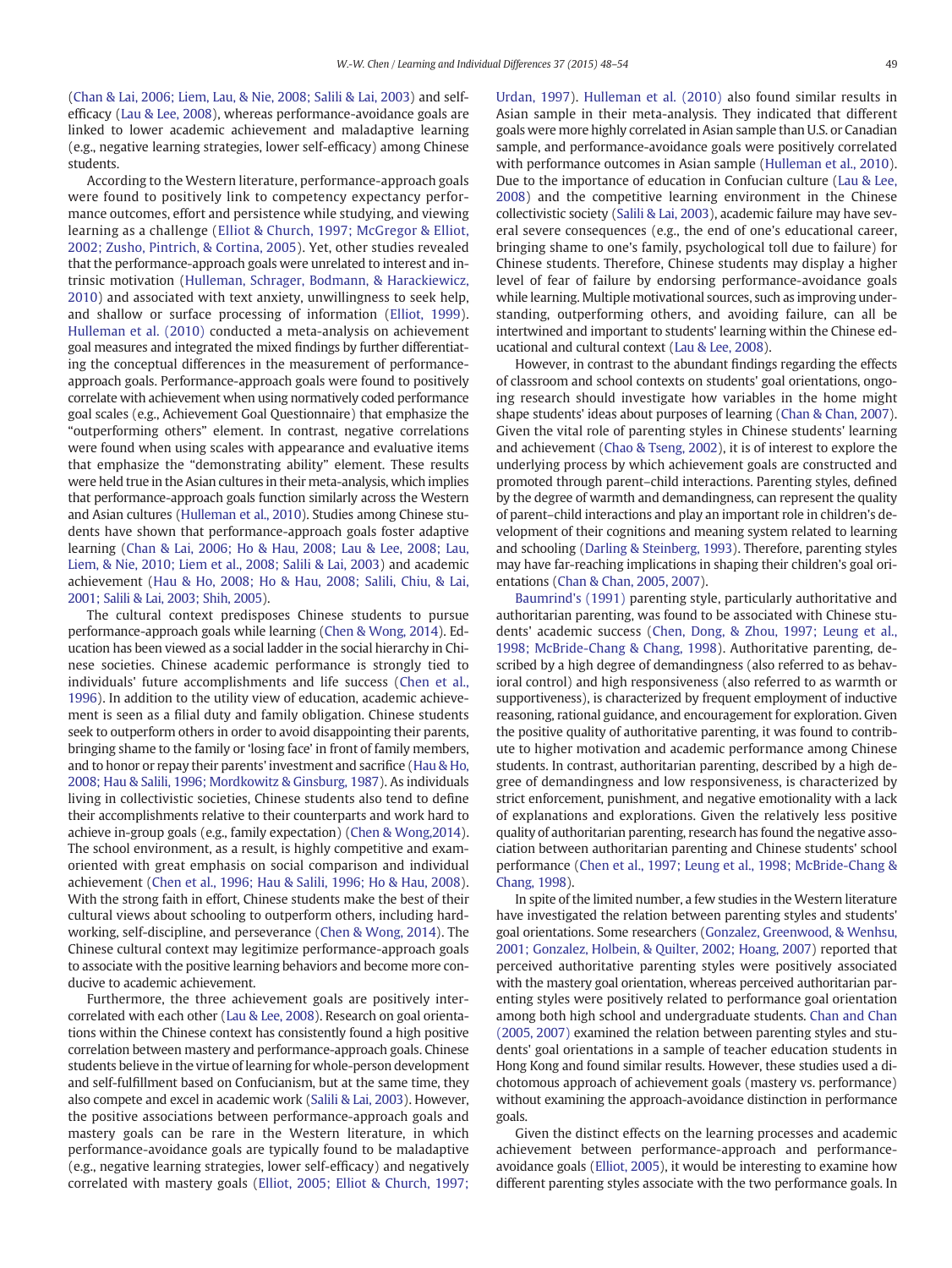[\(Chan & Lai, 2006; Liem, Lau, & Nie, 2008; Salili & Lai, 2003](#page--1-0)) and selfefficacy ([Lau & Lee, 2008\)](#page--1-0), whereas performance-avoidance goals are linked to lower academic achievement and maladaptive learning (e.g., negative learning strategies, lower self-efficacy) among Chinese students.

According to the Western literature, performance-approach goals were found to positively link to competency expectancy performance outcomes, effort and persistence while studying, and viewing learning as a challenge [\(Elliot & Church, 1997; McGregor & Elliot,](#page--1-0) [2002; Zusho, Pintrich, & Cortina, 2005\)](#page--1-0). Yet, other studies revealed that the performance-approach goals were unrelated to interest and intrinsic motivation ([Hulleman, Schrager, Bodmann, & Harackiewicz,](#page--1-0) [2010](#page--1-0)) and associated with text anxiety, unwillingness to seek help, and shallow or surface processing of information [\(Elliot, 1999](#page--1-0)). [Hulleman et al. \(2010\)](#page--1-0) conducted a meta-analysis on achievement goal measures and integrated the mixed findings by further differentiating the conceptual differences in the measurement of performanceapproach goals. Performance-approach goals were found to positively correlate with achievement when using normatively coded performance goal scales (e.g., Achievement Goal Questionnaire) that emphasize the "outperforming others" element. In contrast, negative correlations were found when using scales with appearance and evaluative items that emphasize the "demonstrating ability" element. These results were held true in the Asian cultures in their meta-analysis, which implies that performance-approach goals function similarly across the Western and Asian cultures [\(Hulleman et al., 2010](#page--1-0)). Studies among Chinese students have shown that performance-approach goals foster adaptive learning [\(Chan & Lai, 2006; Ho & Hau, 2008; Lau & Lee, 2008; Lau,](#page--1-0) [Liem, & Nie, 2010; Liem et al., 2008; Salili & Lai, 2003\)](#page--1-0) and academic achievement [\(Hau & Ho, 2008; Ho & Hau, 2008; Salili, Chiu, & Lai,](#page--1-0) [2001; Salili & Lai, 2003; Shih, 2005\)](#page--1-0).

The cultural context predisposes Chinese students to pursue performance-approach goals while learning [\(Chen & Wong, 2014](#page--1-0)). Education has been viewed as a social ladder in the social hierarchy in Chinese societies. Chinese academic performance is strongly tied to individuals' future accomplishments and life success [\(Chen et al.,](#page--1-0) [1996\)](#page--1-0). In addition to the utility view of education, academic achievement is seen as a filial duty and family obligation. Chinese students seek to outperform others in order to avoid disappointing their parents, bringing shame to the family or 'losing face' in front of family members, and to honor or repay their parents' investment and sacrifice ([Hau & Ho,](#page--1-0) [2008; Hau & Salili, 1996; Mordkowitz & Ginsburg, 1987](#page--1-0)). As individuals living in collectivistic societies, Chinese students also tend to define their accomplishments relative to their counterparts and work hard to achieve in-group goals (e.g., family expectation) [\(Chen & Wong,2014](#page--1-0)). The school environment, as a result, is highly competitive and examoriented with great emphasis on social comparison and individual achievement [\(Chen et al., 1996; Hau & Salili, 1996; Ho & Hau, 2008](#page--1-0)). With the strong faith in effort, Chinese students make the best of their cultural views about schooling to outperform others, including hardworking, self-discipline, and perseverance ([Chen & Wong, 2014\)](#page--1-0). The Chinese cultural context may legitimize performance-approach goals to associate with the positive learning behaviors and become more conducive to academic achievement.

Furthermore, the three achievement goals are positively intercorrelated with each other ([Lau & Lee, 2008\)](#page--1-0). Research on goal orientations within the Chinese context has consistently found a high positive correlation between mastery and performance-approach goals. Chinese students believe in the virtue of learning for whole-person development and self-fulfillment based on Confucianism, but at the same time, they also compete and excel in academic work ([Salili & Lai, 2003](#page--1-0)). However, the positive associations between performance-approach goals and mastery goals can be rare in the Western literature, in which performance-avoidance goals are typically found to be maladaptive (e.g., negative learning strategies, lower self-efficacy) and negatively correlated with mastery goals ([Elliot, 2005; Elliot & Church, 1997;](#page--1-0) [Urdan, 1997\)](#page--1-0). [Hulleman et al. \(2010\)](#page--1-0) also found similar results in Asian sample in their meta-analysis. They indicated that different goals were more highly correlated in Asian sample than U.S. or Canadian sample, and performance-avoidance goals were positively correlated with performance outcomes in Asian sample ([Hulleman et al., 2010](#page--1-0)). Due to the importance of education in Confucian culture [\(Lau & Lee,](#page--1-0) [2008\)](#page--1-0) and the competitive learning environment in the Chinese collectivistic society [\(Salili & Lai, 2003\)](#page--1-0), academic failure may have several severe consequences (e.g., the end of one's educational career, bringing shame to one's family, psychological toll due to failure) for Chinese students. Therefore, Chinese students may display a higher level of fear of failure by endorsing performance-avoidance goals while learning. Multiple motivational sources, such as improving understanding, outperforming others, and avoiding failure, can all be intertwined and important to students' learning within the Chinese educational and cultural context [\(Lau & Lee, 2008\)](#page--1-0).

However, in contrast to the abundant findings regarding the effects of classroom and school contexts on students' goal orientations, ongoing research should investigate how variables in the home might shape students' ideas about purposes of learning ([Chan & Chan, 2007](#page--1-0)). Given the vital role of parenting styles in Chinese students' learning and achievement [\(Chao & Tseng, 2002](#page--1-0)), it is of interest to explore the underlying process by which achievement goals are constructed and promoted through parent–child interactions. Parenting styles, defined by the degree of warmth and demandingness, can represent the quality of parent–child interactions and play an important role in children's development of their cognitions and meaning system related to learning and schooling [\(Darling & Steinberg, 1993](#page--1-0)). Therefore, parenting styles may have far-reaching implications in shaping their children's goal orientations [\(Chan & Chan, 2005, 2007](#page--1-0)).

[Baumrind's \(1991\)](#page--1-0) parenting style, particularly authoritative and authoritarian parenting, was found to be associated with Chinese students' academic success [\(Chen, Dong, & Zhou, 1997; Leung et al.,](#page--1-0) [1998; McBride-Chang & Chang, 1998\)](#page--1-0). Authoritative parenting, described by a high degree of demandingness (also referred to as behavioral control) and high responsiveness (also referred to as warmth or supportiveness), is characterized by frequent employment of inductive reasoning, rational guidance, and encouragement for exploration. Given the positive quality of authoritative parenting, it was found to contribute to higher motivation and academic performance among Chinese students. In contrast, authoritarian parenting, described by a high degree of demandingness and low responsiveness, is characterized by strict enforcement, punishment, and negative emotionality with a lack of explanations and explorations. Given the relatively less positive quality of authoritarian parenting, research has found the negative association between authoritarian parenting and Chinese students' school performance ([Chen et al., 1997; Leung et al., 1998; McBride-Chang &](#page--1-0) [Chang, 1998](#page--1-0)).

In spite of the limited number, a few studies in the Western literature have investigated the relation between parenting styles and students' goal orientations. Some researchers [\(Gonzalez, Greenwood, & Wenhsu,](#page--1-0) [2001; Gonzalez, Holbein, & Quilter, 2002; Hoang, 2007\)](#page--1-0) reported that perceived authoritative parenting styles were positively associated with the mastery goal orientation, whereas perceived authoritarian parenting styles were positively related to performance goal orientation among both high school and undergraduate students. [Chan and Chan](#page--1-0) [\(2005, 2007\)](#page--1-0) examined the relation between parenting styles and students' goal orientations in a sample of teacher education students in Hong Kong and found similar results. However, these studies used a dichotomous approach of achievement goals (mastery vs. performance) without examining the approach-avoidance distinction in performance goals.

Given the distinct effects on the learning processes and academic achievement between performance-approach and performanceavoidance goals ([Elliot, 2005\)](#page--1-0), it would be interesting to examine how different parenting styles associate with the two performance goals. In